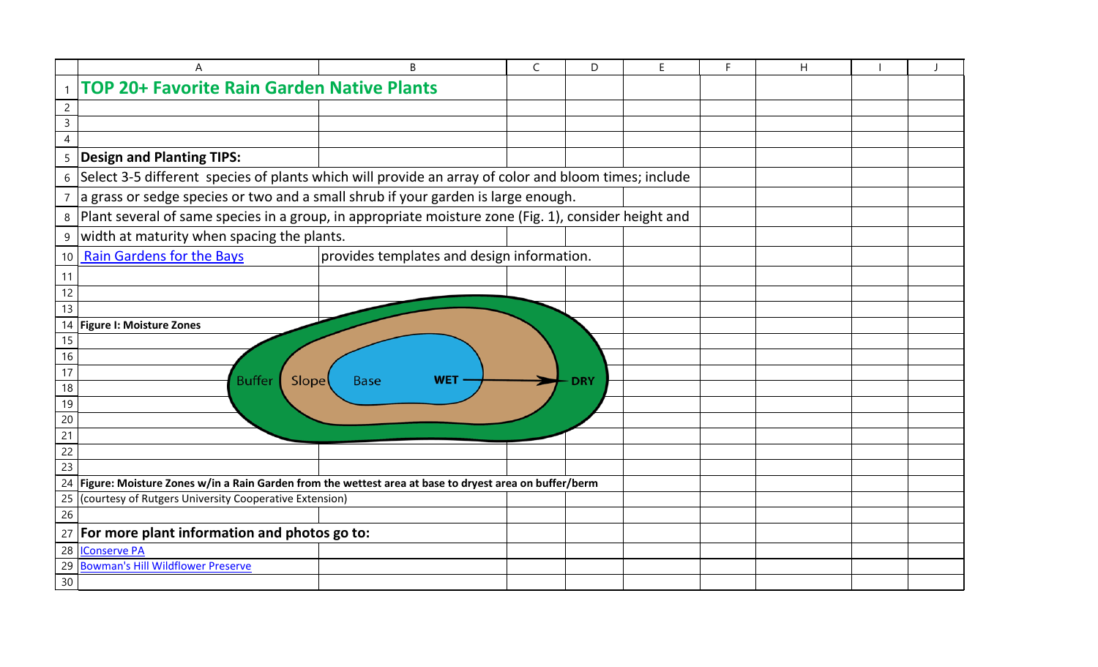|                 | A                                                                                                        | B                                          | $\mathsf C$ | D          | E. | F | H |  |  |
|-----------------|----------------------------------------------------------------------------------------------------------|--------------------------------------------|-------------|------------|----|---|---|--|--|
| $\mathbf{1}$    | <b>TOP 20+ Favorite Rain Garden Native Plants</b>                                                        |                                            |             |            |    |   |   |  |  |
| $\overline{c}$  |                                                                                                          |                                            |             |            |    |   |   |  |  |
| 3               |                                                                                                          |                                            |             |            |    |   |   |  |  |
| $\overline{4}$  |                                                                                                          |                                            |             |            |    |   |   |  |  |
|                 | 5   Design and Planting TIPS:                                                                            |                                            |             |            |    |   |   |  |  |
|                 | 6 Select 3-5 different species of plants which will provide an array of color and bloom times; include   |                                            |             |            |    |   |   |  |  |
|                 | 7 a grass or sedge species or two and a small shrub if your garden is large enough.                      |                                            |             |            |    |   |   |  |  |
|                 | 8 Plant several of same species in a group, in appropriate moisture zone (Fig. 1), consider height and   |                                            |             |            |    |   |   |  |  |
| 9               | width at maturity when spacing the plants.                                                               |                                            |             |            |    |   |   |  |  |
| 10 <sup>1</sup> | <b>Rain Gardens for the Bays</b>                                                                         | provides templates and design information. |             |            |    |   |   |  |  |
| 11              |                                                                                                          |                                            |             |            |    |   |   |  |  |
| 12              |                                                                                                          |                                            |             |            |    |   |   |  |  |
| 13              |                                                                                                          |                                            |             |            |    |   |   |  |  |
|                 | 14 Figure I: Moisture Zones                                                                              |                                            |             |            |    |   |   |  |  |
| 15              |                                                                                                          |                                            |             |            |    |   |   |  |  |
| 16              |                                                                                                          |                                            |             |            |    |   |   |  |  |
| 17<br>18        | <b>Buffer</b><br><b>Slope</b>                                                                            | <b>WET</b><br><b>Base</b>                  |             | <b>DRY</b> |    |   |   |  |  |
| 19              |                                                                                                          |                                            |             |            |    |   |   |  |  |
| 20              |                                                                                                          |                                            |             |            |    |   |   |  |  |
| 21              |                                                                                                          |                                            |             |            |    |   |   |  |  |
| 22              |                                                                                                          |                                            |             |            |    |   |   |  |  |
| 23              |                                                                                                          |                                            |             |            |    |   |   |  |  |
|                 | 24 Figure: Moisture Zones w/in a Rain Garden from the wettest area at base to dryest area on buffer/berm |                                            |             |            |    |   |   |  |  |
|                 | 25 (courtesy of Rutgers University Cooperative Extension)                                                |                                            |             |            |    |   |   |  |  |
| 26              |                                                                                                          |                                            |             |            |    |   |   |  |  |
|                 | 27 For more plant information and photos go to:                                                          |                                            |             |            |    |   |   |  |  |
|                 | 28 Conserve PA                                                                                           |                                            |             |            |    |   |   |  |  |
|                 | 29 Bowman's Hill Wildflower Preserve                                                                     |                                            |             |            |    |   |   |  |  |
| 30              |                                                                                                          |                                            |             |            |    |   |   |  |  |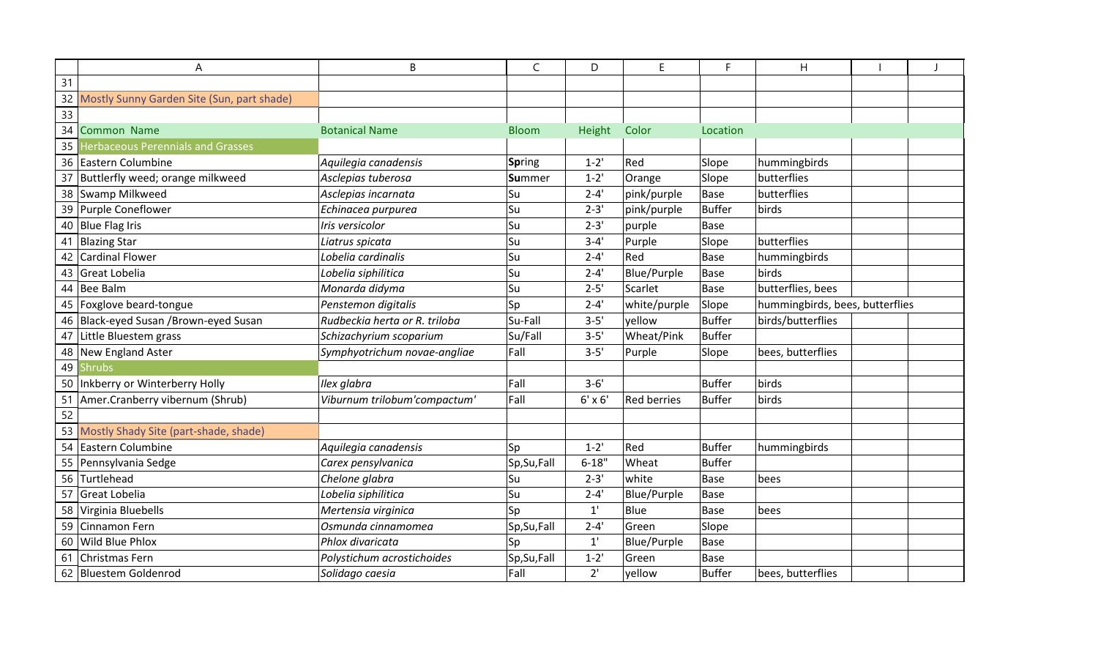|    | A                                             | B                             | $\mathsf C$   | D              | E                  | F.            | H                               |  |
|----|-----------------------------------------------|-------------------------------|---------------|----------------|--------------------|---------------|---------------------------------|--|
| 31 |                                               |                               |               |                |                    |               |                                 |  |
|    | 32 Mostly Sunny Garden Site (Sun, part shade) |                               |               |                |                    |               |                                 |  |
| 33 |                                               |                               |               |                |                    |               |                                 |  |
| 34 | <b>Common Name</b>                            | <b>Botanical Name</b>         | <b>Bloom</b>  | Height         | Color              | Location      |                                 |  |
| 35 | <b>Herbaceous Perennials and Grasses</b>      |                               |               |                |                    |               |                                 |  |
|    | 36 Eastern Columbine                          | Aquilegia canadensis          | Spring        | $1 - 2'$       | Red                | Slope         | hummingbirds                    |  |
| 37 | Buttlerfly weed; orange milkweed              | Asclepias tuberosa            | <b>Summer</b> | $1 - 2'$       | Orange             | Slope         | butterflies                     |  |
|    | 38 Swamp Milkweed                             | Asclepias incarnata           | Su            | $2 - 4'$       | pink/purple        | <b>Base</b>   | butterflies                     |  |
|    | 39 Purple Coneflower                          | Echinacea purpurea            | Su            | $2 - 3'$       | pink/purple        | <b>Buffer</b> | birds                           |  |
|    | 40 Blue Flag Iris                             | Iris versicolor               | Su            | $2 - 3'$       | purple             | <b>Base</b>   |                                 |  |
| 41 | <b>Blazing Star</b>                           | Liatrus spicata               | lSu           | $3 - 4'$       | Purple             | Slope         | butterflies                     |  |
|    | <b>Cardinal Flower</b>                        | Lobelia cardinalis            | Su            | $2 - 4'$       | Red                | <b>Base</b>   | hummingbirds                    |  |
|    | 43 Great Lobelia                              | Lobelia siphilitica           | Su            | $2 - 4'$       | Blue/Purple        | <b>Base</b>   | birds                           |  |
| 44 | Bee Balm                                      | Monarda didyma                | lSu           | $2 - 5'$       | Scarlet            | <b>Base</b>   | butterflies, bees               |  |
|    | 45 Foxglove beard-tongue                      | Penstemon digitalis           | Sp            | $2 - 4'$       | white/purple       | Slope         | hummingbirds, bees, butterflies |  |
|    | 46 Black-eyed Susan / Brown-eyed Susan        | Rudbeckia herta or R. triloba | Su-Fall       | $3 - 5'$       | yellow             | <b>Buffer</b> | birds/butterflies               |  |
|    | 47 Little Bluestem grass                      | Schizachyrium scoparium       | Su/Fall       | $3 - 5'$       | Wheat/Pink         | <b>Buffer</b> |                                 |  |
|    | 48 New England Aster                          | Symphyotrichum novae-angliae  | Fall          | $3 - 5'$       | Purple             | Slope         | bees, butterflies               |  |
| 49 | <b>Shrubs</b>                                 |                               |               |                |                    |               |                                 |  |
| 50 | Inkberry or Winterberry Holly                 | Ilex glabra                   | Fall          | $3 - 6'$       |                    | <b>Buffer</b> | birds                           |  |
| 51 | Amer.Cranberry vibernum (Shrub)               | Viburnum trilobum'compactum'  | Fall          | $6' \times 6'$ | <b>Red berries</b> | <b>Buffer</b> | birds                           |  |
| 52 |                                               |                               |               |                |                    |               |                                 |  |
|    | 53 Mostly Shady Site (part-shade, shade)      |                               |               |                |                    |               |                                 |  |
| 54 | Eastern Columbine                             | Aquilegia canadensis          | Sp            | $1 - 2'$       | Red                | <b>Buffer</b> | hummingbirds                    |  |
|    | 55 Pennsylvania Sedge                         | Carex pensylvanica            | Sp, Su, Fall  | $6 - 18"$      | Wheat              | <b>Buffer</b> |                                 |  |
| 56 | Turtlehead                                    | Chelone glabra                | Su            | $2 - 3'$       | white              | <b>Base</b>   | bees                            |  |
| 57 | Great Lobelia                                 | Lobelia siphilitica           | lSu           | $2 - 4'$       | Blue/Purple        | <b>Base</b>   |                                 |  |
|    | 58 Virginia Bluebells                         | Mertensia virginica           | Sp            | $1^{\prime}$   | Blue               | <b>Base</b>   | bees                            |  |
|    | 59 Cinnamon Fern                              | Osmunda cinnamomea            | Sp, Su, Fall  | $2 - 4'$       | Green              | Slope         |                                 |  |
| 60 | Wild Blue Phlox                               | Phlox divaricata              | Sp            | $1^{\prime}$   | Blue/Purple        | <b>Base</b>   |                                 |  |
| 61 | Christmas Fern                                | Polystichum acrostichoides    | Sp, Su, Fall  | $1 - 2'$       | Green              | Base          |                                 |  |
|    | 62 Bluestem Goldenrod                         | Solidago caesia               | Fall          | 2'             | yellow             | <b>Buffer</b> | bees, butterflies               |  |